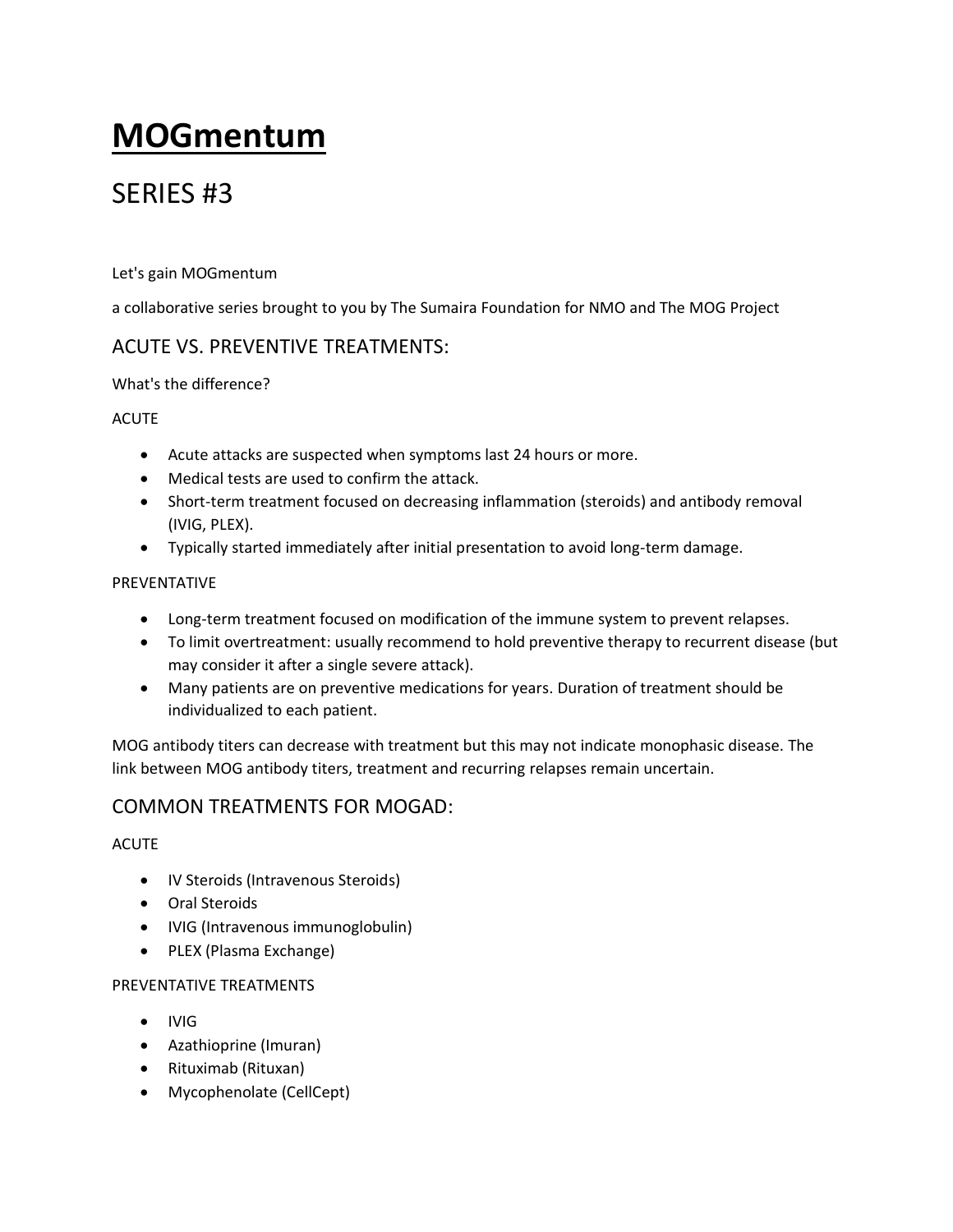# **MOGmentum**

## SERIES #3

### Let's gain MOGmentum

a collaborative series brought to you by The Sumaira Foundation for NMO and The MOG Project

### ACUTE VS. PREVENTIVE TREATMENTS:

### What's the difference?

### ACUTE

- Acute attacks are suspected when symptoms last 24 hours or more.
- Medical tests are used to confirm the attack.
- Short-term treatment focused on decreasing inflammation (steroids) and antibody removal (IVIG, PLEX).
- Typically started immediately after initial presentation to avoid long-term damage.

### PREVENTATIVE

- Long-term treatment focused on modification of the immune system to prevent relapses.
- To limit overtreatment: usually recommend to hold preventive therapy to recurrent disease (but may consider it after a single severe attack).
- Many patients are on preventive medications for years. Duration of treatment should be individualized to each patient.

MOG antibody titers can decrease with treatment but this may not indicate monophasic disease. The link between MOG antibody titers, treatment and recurring relapses remain uncertain.

### COMMON TREATMENTS FOR MOGAD:

### ACUTE

- IV Steroids (Intravenous Steroids)
- Oral Steroids
- IVIG (Intravenous immunoglobulin)
- PLEX (Plasma Exchange)

### PREVENTATIVE TREATMENTS

- IVIG
- Azathioprine (Imuran)
- Rituximab (Rituxan)
- Mycophenolate (CellCept)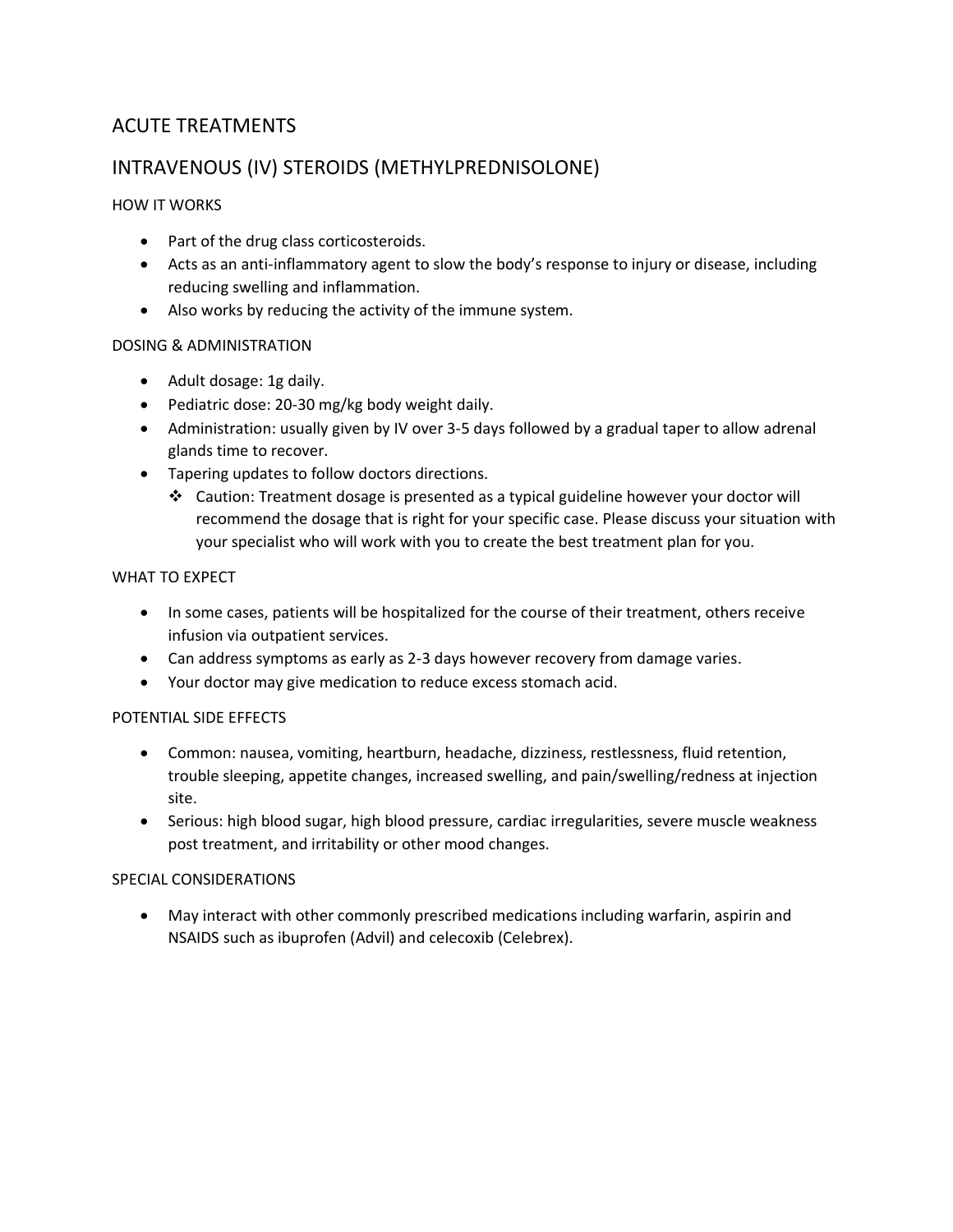### ACUTE TREATMENTS

### INTRAVENOUS (IV) STEROIDS (METHYLPREDNISOLONE)

### HOW IT WORKS

- Part of the drug class corticosteroids.
- Acts as an anti-inflammatory agent to slow the body's response to injury or disease, including reducing swelling and inflammation.
- Also works by reducing the activity of the immune system.

### DOSING & ADMINISTRATION

- Adult dosage: 1g daily.
- Pediatric dose: 20-30 mg/kg body weight daily.
- Administration: usually given by IV over 3-5 days followed by a gradual taper to allow adrenal glands time to recover.
- Tapering updates to follow doctors directions.
	- ❖ Caution: Treatment dosage is presented as a typical guideline however your doctor will recommend the dosage that is right for your specific case. Please discuss your situation with your specialist who will work with you to create the best treatment plan for you.

### WHAT TO EXPECT

- In some cases, patients will be hospitalized for the course of their treatment, others receive infusion via outpatient services.
- Can address symptoms as early as 2-3 days however recovery from damage varies.
- Your doctor may give medication to reduce excess stomach acid.

#### POTENTIAL SIDE EFFECTS

- Common: nausea, vomiting, heartburn, headache, dizziness, restlessness, fluid retention, trouble sleeping, appetite changes, increased swelling, and pain/swelling/redness at injection site.
- Serious: high blood sugar, high blood pressure, cardiac irregularities, severe muscle weakness post treatment, and irritability or other mood changes.

#### SPECIAL CONSIDERATIONS

• May interact with other commonly prescribed medications including warfarin, aspirin and NSAIDS such as ibuprofen (Advil) and celecoxib (Celebrex).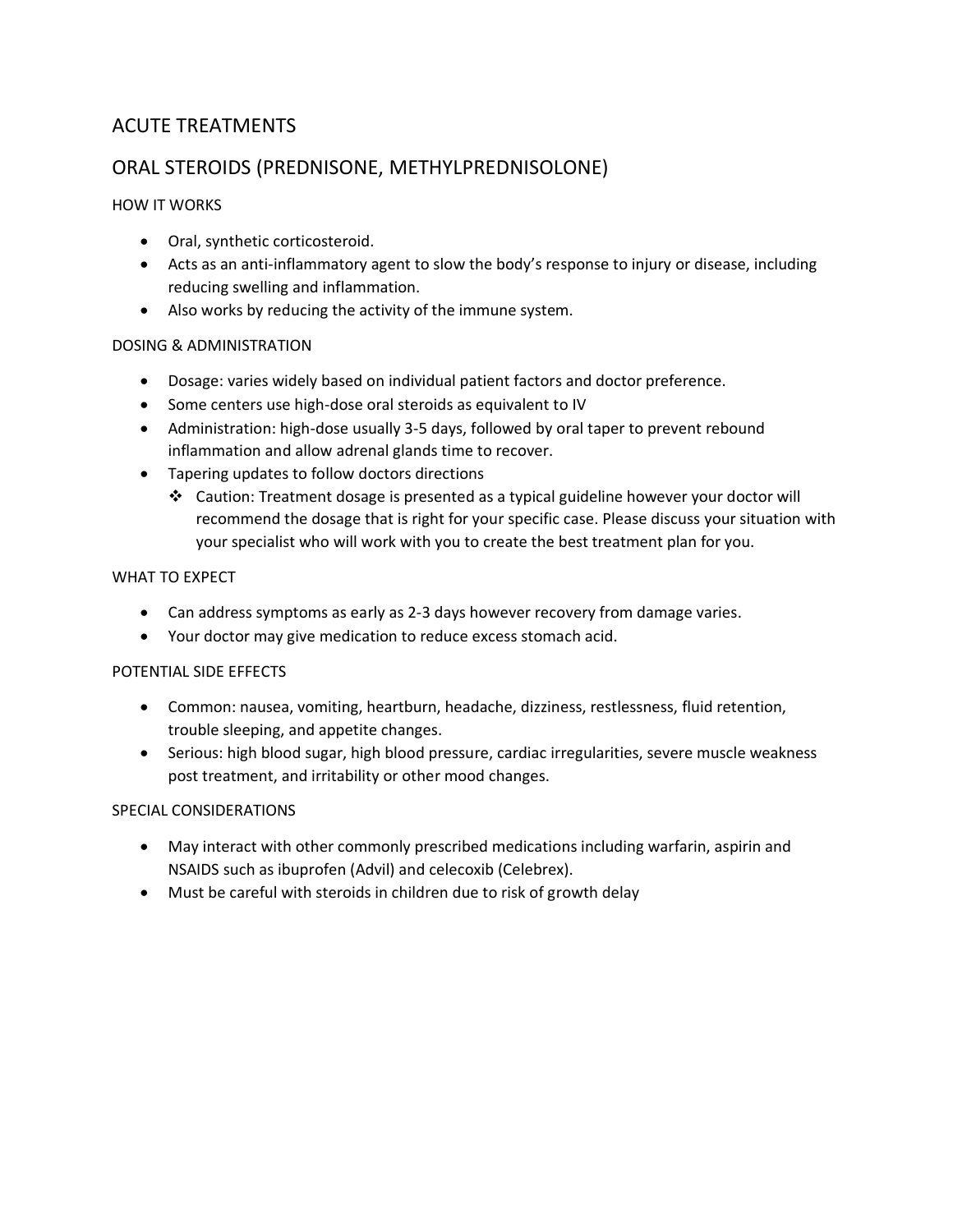### ACUTE TREATMENTS

### ORAL STEROIDS (PREDNISONE, METHYLPREDNISOLONE)

### HOW IT WORKS

- Oral, synthetic corticosteroid.
- Acts as an anti-inflammatory agent to slow the body's response to injury or disease, including reducing swelling and inflammation.
- Also works by reducing the activity of the immune system.

### DOSING & ADMINISTRATION

- Dosage: varies widely based on individual patient factors and doctor preference.
- Some centers use high-dose oral steroids as equivalent to IV
- Administration: high-dose usually 3-5 days, followed by oral taper to prevent rebound inflammation and allow adrenal glands time to recover.
- Tapering updates to follow doctors directions
	- ❖ Caution: Treatment dosage is presented as a typical guideline however your doctor will recommend the dosage that is right for your specific case. Please discuss your situation with your specialist who will work with you to create the best treatment plan for you.

### WHAT TO EXPECT

- Can address symptoms as early as 2-3 days however recovery from damage varies.
- Your doctor may give medication to reduce excess stomach acid.

### POTENTIAL SIDE EFFECTS

- Common: nausea, vomiting, heartburn, headache, dizziness, restlessness, fluid retention, trouble sleeping, and appetite changes.
- Serious: high blood sugar, high blood pressure, cardiac irregularities, severe muscle weakness post treatment, and irritability or other mood changes.

- May interact with other commonly prescribed medications including warfarin, aspirin and NSAIDS such as ibuprofen (Advil) and celecoxib (Celebrex).
- Must be careful with steroids in children due to risk of growth delay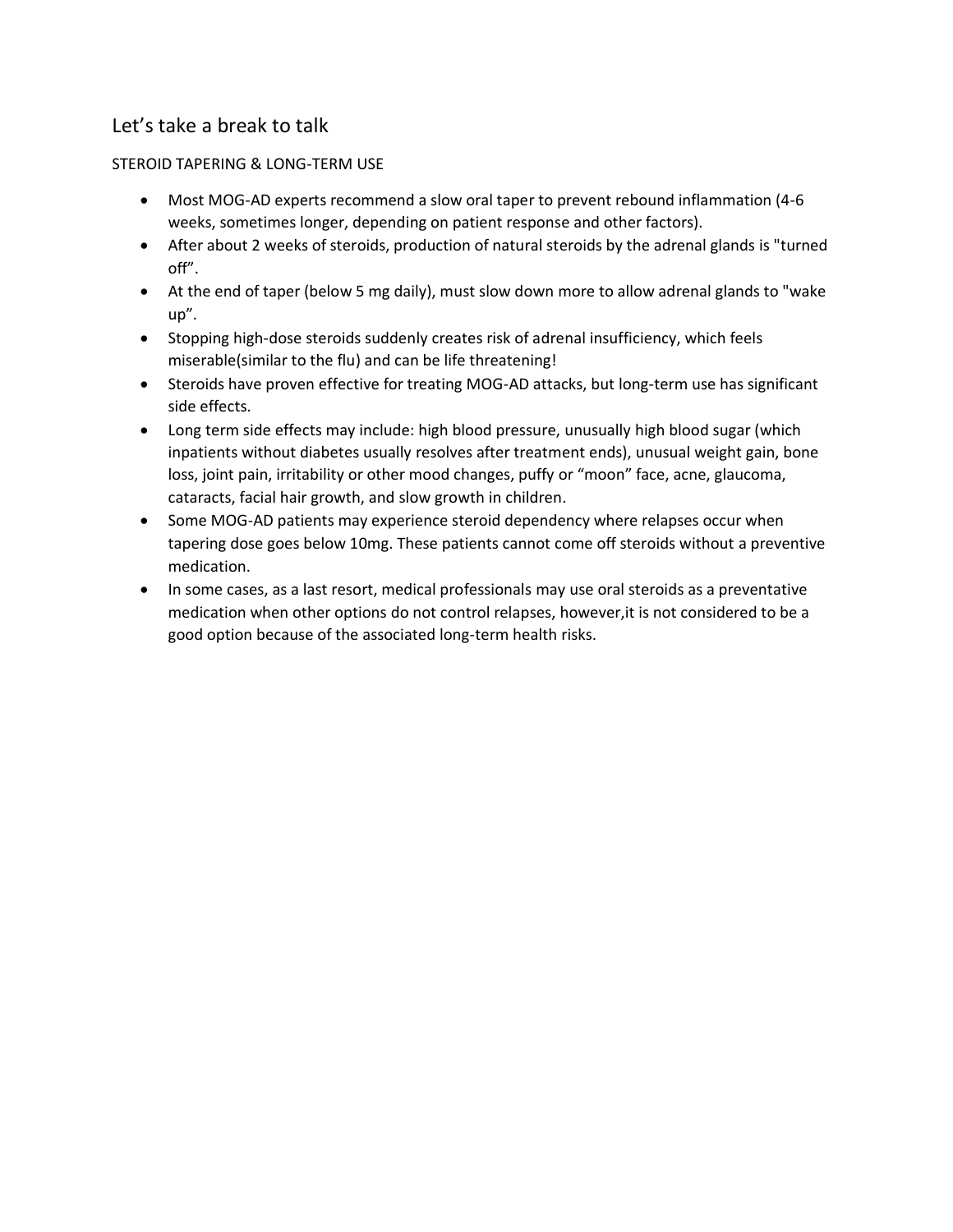### Let's take a break to talk

### STEROID TAPERING & LONG-TERM USE

- Most MOG-AD experts recommend a slow oral taper to prevent rebound inflammation (4-6 weeks, sometimes longer, depending on patient response and other factors).
- After about 2 weeks of steroids, production of natural steroids by the adrenal glands is "turned off".
- At the end of taper (below 5 mg daily), must slow down more to allow adrenal glands to "wake up".
- Stopping high-dose steroids suddenly creates risk of adrenal insufficiency, which feels miserable(similar to the flu) and can be life threatening!
- Steroids have proven effective for treating MOG-AD attacks, but long-term use has significant side effects.
- Long term side effects may include: high blood pressure, unusually high blood sugar (which inpatients without diabetes usually resolves after treatment ends), unusual weight gain, bone loss, joint pain, irritability or other mood changes, puffy or "moon" face, acne, glaucoma, cataracts, facial hair growth, and slow growth in children.
- Some MOG-AD patients may experience steroid dependency where relapses occur when tapering dose goes below 10mg. These patients cannot come off steroids without a preventive medication.
- In some cases, as a last resort, medical professionals may use oral steroids as a preventative medication when other options do not control relapses, however,it is not considered to be a good option because of the associated long-term health risks.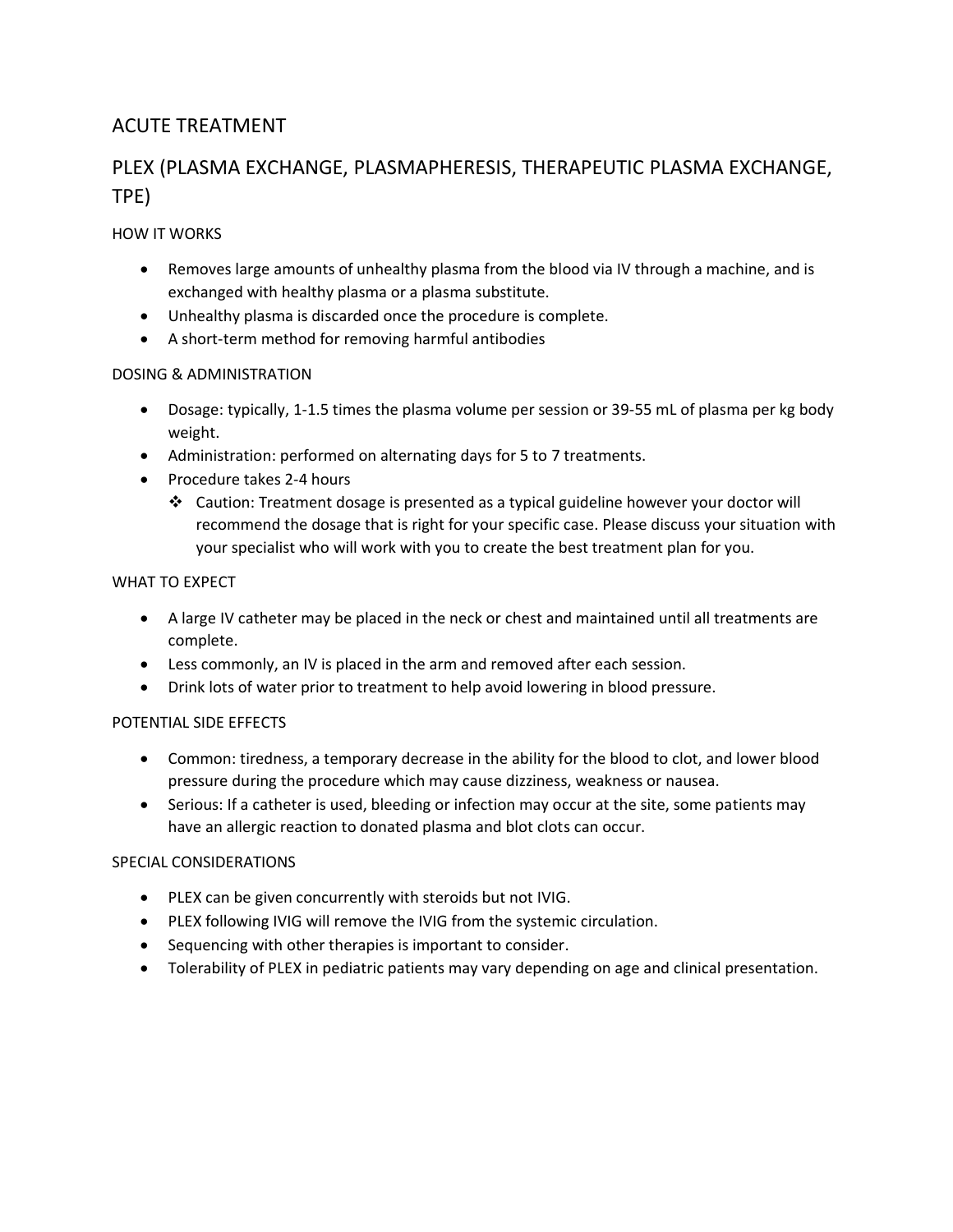### ACUTE TREATMENT

### PLEX (PLASMA EXCHANGE, PLASMAPHERESIS, THERAPEUTIC PLASMA EXCHANGE, TPE)

### HOW IT WORKS

- Removes large amounts of unhealthy plasma from the blood via IV through a machine, and is exchanged with healthy plasma or a plasma substitute.
- Unhealthy plasma is discarded once the procedure is complete.
- A short-term method for removing harmful antibodies

### DOSING & ADMINISTRATION

- Dosage: typically, 1-1.5 times the plasma volume per session or 39-55 mL of plasma per kg body weight.
- Administration: performed on alternating days for 5 to 7 treatments.
- Procedure takes 2-4 hours
	- ❖ Caution: Treatment dosage is presented as a typical guideline however your doctor will recommend the dosage that is right for your specific case. Please discuss your situation with your specialist who will work with you to create the best treatment plan for you.

#### WHAT TO EXPECT

- A large IV catheter may be placed in the neck or chest and maintained until all treatments are complete.
- Less commonly, an IV is placed in the arm and removed after each session.
- Drink lots of water prior to treatment to help avoid lowering in blood pressure.

#### POTENTIAL SIDE EFFECTS

- Common: tiredness, a temporary decrease in the ability for the blood to clot, and lower blood pressure during the procedure which may cause dizziness, weakness or nausea.
- Serious: If a catheter is used, bleeding or infection may occur at the site, some patients may have an allergic reaction to donated plasma and blot clots can occur.

- PLEX can be given concurrently with steroids but not IVIG.
- PLEX following IVIG will remove the IVIG from the systemic circulation.
- Sequencing with other therapies is important to consider.
- Tolerability of PLEX in pediatric patients may vary depending on age and clinical presentation.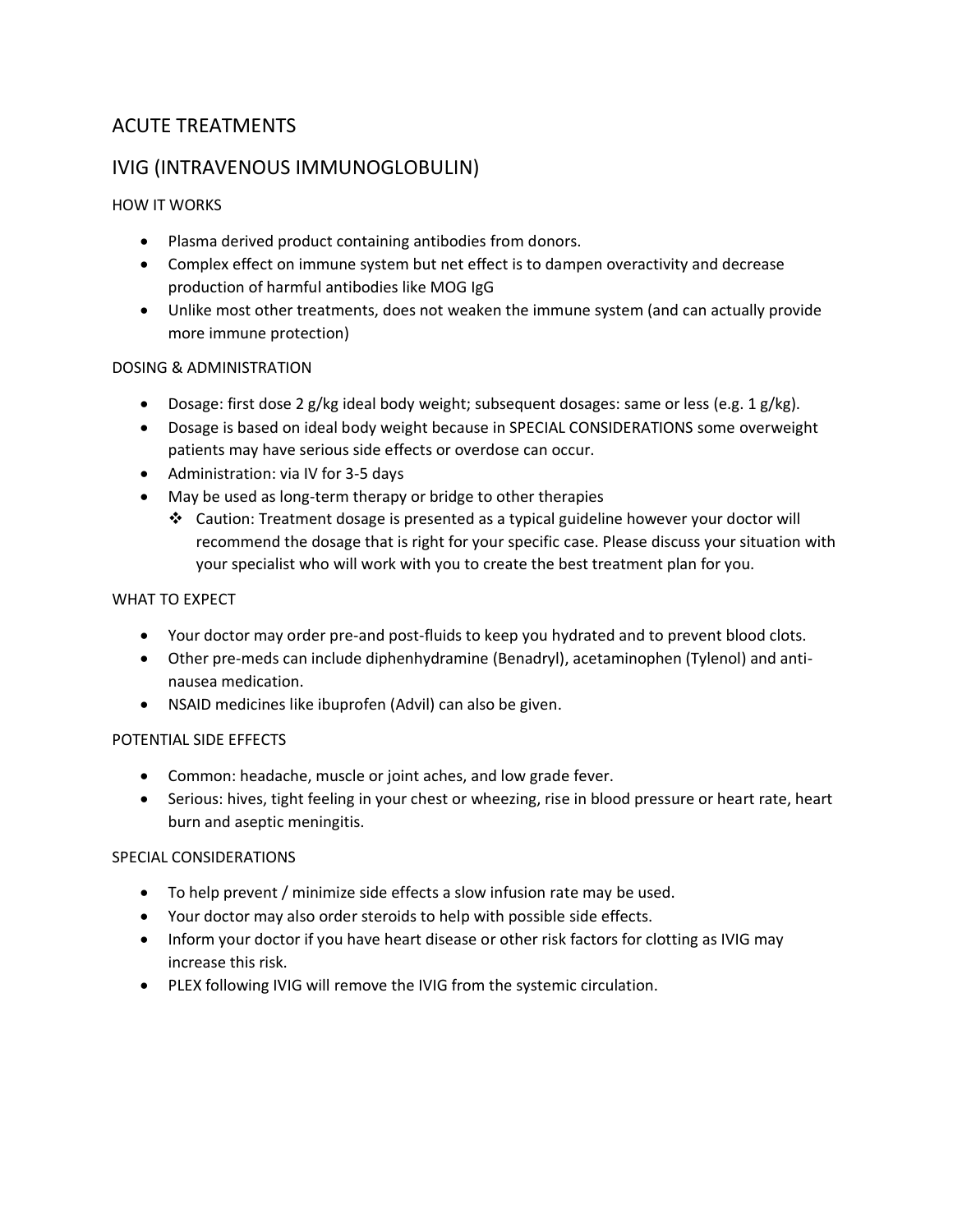### ACUTE TREATMENTS

### IVIG (INTRAVENOUS IMMUNOGLOBULIN)

### HOW IT WORKS

- Plasma derived product containing antibodies from donors.
- Complex effect on immune system but net effect is to dampen overactivity and decrease production of harmful antibodies like MOG IgG
- Unlike most other treatments, does not weaken the immune system (and can actually provide more immune protection)

### DOSING & ADMINISTRATION

- Dosage: first dose 2 g/kg ideal body weight; subsequent dosages: same or less (e.g. 1 g/kg).
- Dosage is based on ideal body weight because in SPECIAL CONSIDERATIONS some overweight patients may have serious side effects or overdose can occur.
- Administration: via IV for 3-5 days
- May be used as long-term therapy or bridge to other therapies
	- ❖ Caution: Treatment dosage is presented as a typical guideline however your doctor will recommend the dosage that is right for your specific case. Please discuss your situation with your specialist who will work with you to create the best treatment plan for you.

### WHAT TO EXPECT

- Your doctor may order pre-and post-fluids to keep you hydrated and to prevent blood clots.
- Other pre-meds can include diphenhydramine (Benadryl), acetaminophen (Tylenol) and antinausea medication.
- NSAID medicines like ibuprofen (Advil) can also be given.

#### POTENTIAL SIDE EFFECTS

- Common: headache, muscle or joint aches, and low grade fever.
- Serious: hives, tight feeling in your chest or wheezing, rise in blood pressure or heart rate, heart burn and aseptic meningitis.

- To help prevent / minimize side effects a slow infusion rate may be used.
- Your doctor may also order steroids to help with possible side effects.
- Inform your doctor if you have heart disease or other risk factors for clotting as IVIG may increase this risk.
- PLEX following IVIG will remove the IVIG from the systemic circulation.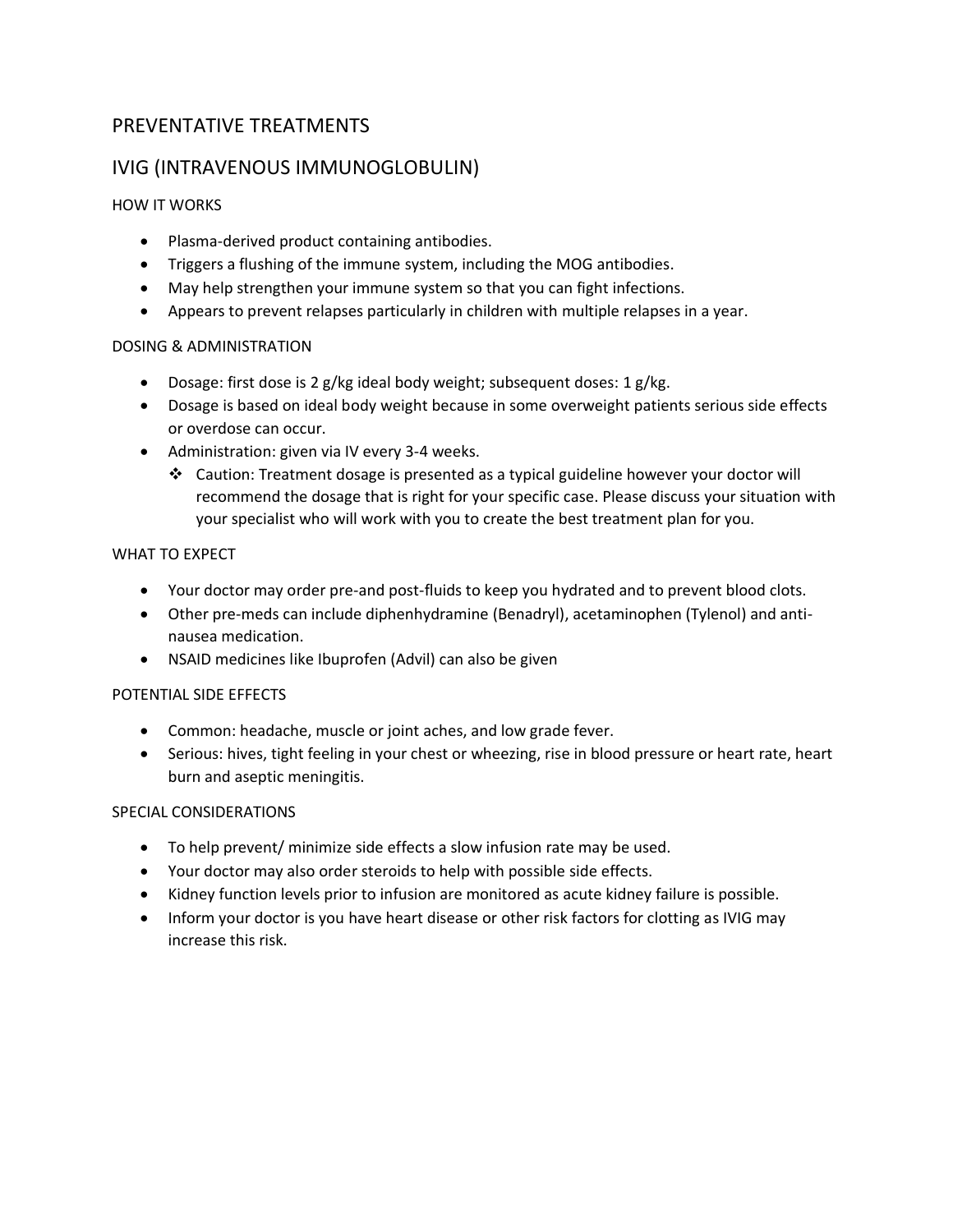### PREVENTATIVE TREATMENTS

### IVIG (INTRAVENOUS IMMUNOGLOBULIN)

### HOW IT WORKS

- Plasma-derived product containing antibodies.
- Triggers a flushing of the immune system, including the MOG antibodies.
- May help strengthen your immune system so that you can fight infections.
- Appears to prevent relapses particularly in children with multiple relapses in a year.

### DOSING & ADMINISTRATION

- Dosage: first dose is 2 g/kg ideal body weight; subsequent doses: 1 g/kg.
- Dosage is based on ideal body weight because in some overweight patients serious side effects or overdose can occur.
- Administration: given via IV every 3-4 weeks.
	- ❖ Caution: Treatment dosage is presented as a typical guideline however your doctor will recommend the dosage that is right for your specific case. Please discuss your situation with your specialist who will work with you to create the best treatment plan for you.

### WHAT TO EXPECT

- Your doctor may order pre-and post-fluids to keep you hydrated and to prevent blood clots.
- Other pre-meds can include diphenhydramine (Benadryl), acetaminophen (Tylenol) and antinausea medication.
- NSAID medicines like Ibuprofen (Advil) can also be given

### POTENTIAL SIDE EFFECTS

- Common: headache, muscle or joint aches, and low grade fever.
- Serious: hives, tight feeling in your chest or wheezing, rise in blood pressure or heart rate, heart burn and aseptic meningitis.

- To help prevent/ minimize side effects a slow infusion rate may be used.
- Your doctor may also order steroids to help with possible side effects.
- Kidney function levels prior to infusion are monitored as acute kidney failure is possible.
- Inform your doctor is you have heart disease or other risk factors for clotting as IVIG may increase this risk.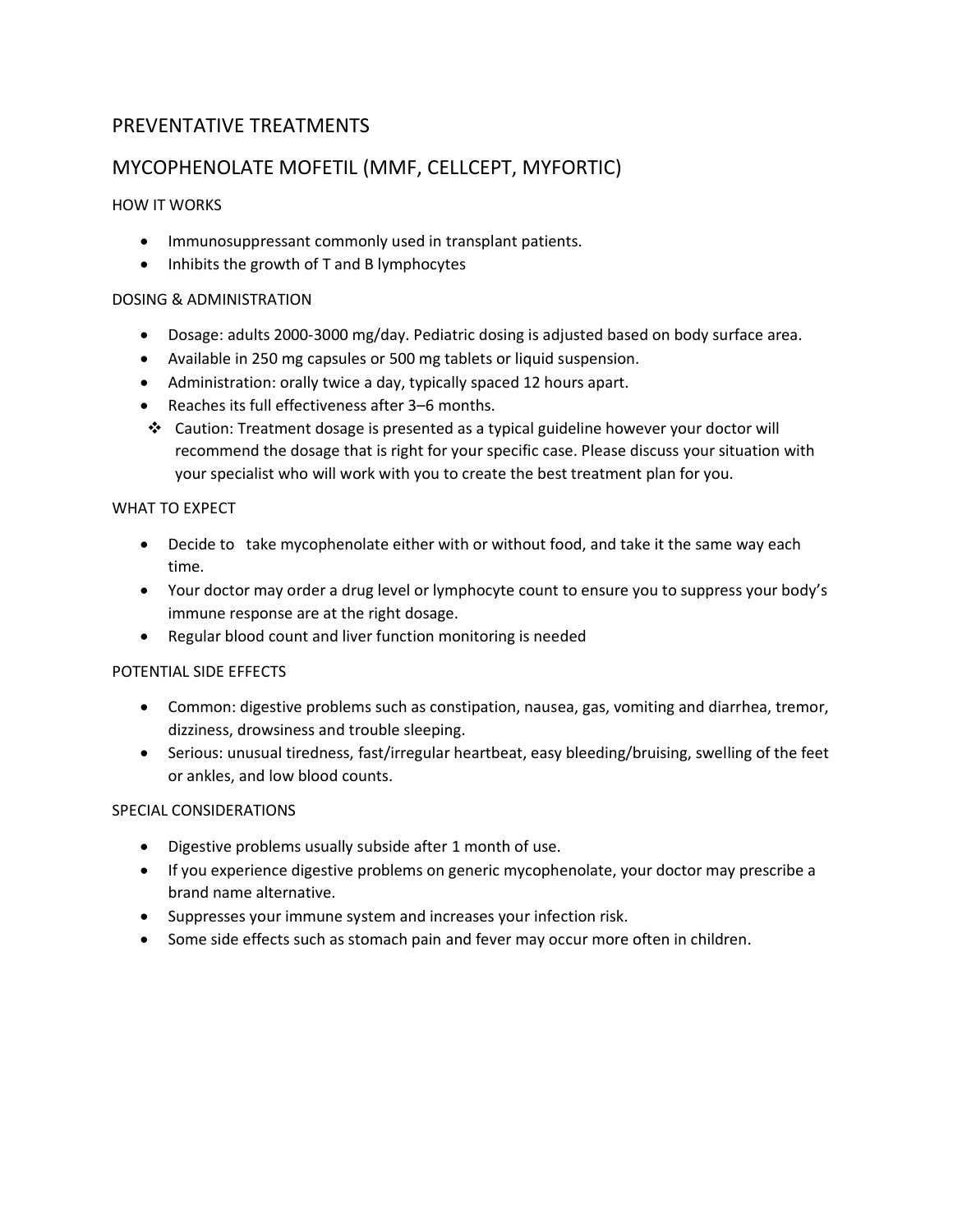### PREVENTATIVE TREATMENTS

### MYCOPHENOLATE MOFETIL (MMF, CELLCEPT, MYFORTIC)

### HOW IT WORKS

- Immunosuppressant commonly used in transplant patients.
- Inhibits the growth of T and B lymphocytes

### DOSING & ADMINISTRATION

- Dosage: adults 2000-3000 mg/day. Pediatric dosing is adjusted based on body surface area.
- Available in 250 mg capsules or 500 mg tablets or liquid suspension.
- Administration: orally twice a day, typically spaced 12 hours apart.
- Reaches its full effectiveness after 3–6 months.
- ❖ Caution: Treatment dosage is presented as a typical guideline however your doctor will recommend the dosage that is right for your specific case. Please discuss your situation with your specialist who will work with you to create the best treatment plan for you.

### WHAT TO EXPECT

- Decide to take mycophenolate either with or without food, and take it the same way each time.
- Your doctor may order a drug level or lymphocyte count to ensure you to suppress your body's immune response are at the right dosage.
- Regular blood count and liver function monitoring is needed

#### POTENTIAL SIDE EFFECTS

- Common: digestive problems such as constipation, nausea, gas, vomiting and diarrhea, tremor, dizziness, drowsiness and trouble sleeping.
- Serious: unusual tiredness, fast/irregular heartbeat, easy bleeding/bruising, swelling of the feet or ankles, and low blood counts.

- Digestive problems usually subside after 1 month of use.
- If you experience digestive problems on generic mycophenolate, your doctor may prescribe a brand name alternative.
- Suppresses your immune system and increases your infection risk.
- Some side effects such as stomach pain and fever may occur more often in children.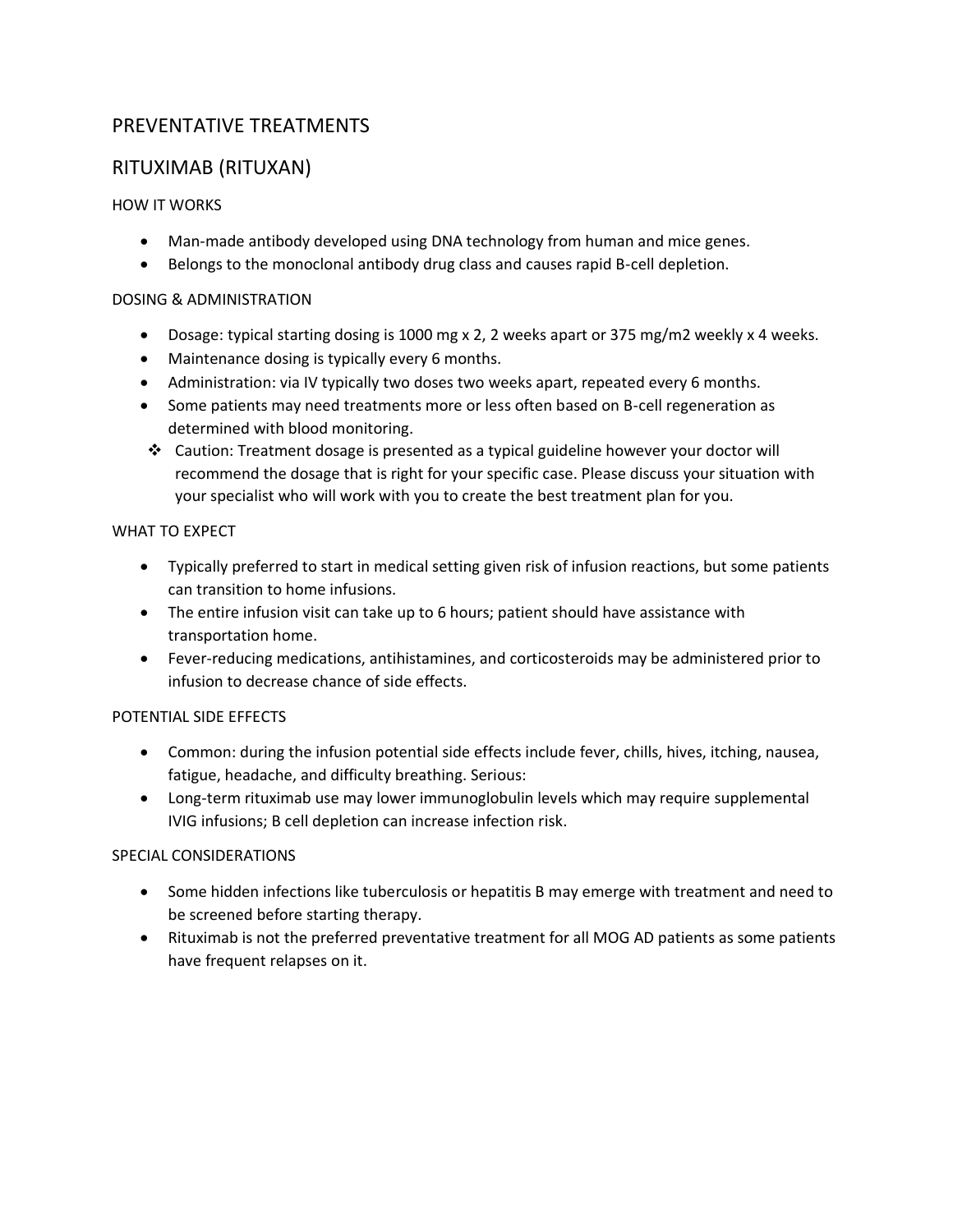### PREVENTATIVE TREATMENTS

### RITUXIMAB (RITUXAN)

### HOW IT WORKS

- Man-made antibody developed using DNA technology from human and mice genes.
- Belongs to the monoclonal antibody drug class and causes rapid B-cell depletion.

### DOSING & ADMINISTRATION

- Dosage: typical starting dosing is 1000 mg x 2, 2 weeks apart or 375 mg/m2 weekly x 4 weeks.
- Maintenance dosing is typically every 6 months.
- Administration: via IV typically two doses two weeks apart, repeated every 6 months.
- Some patients may need treatments more or less often based on B-cell regeneration as determined with blood monitoring.
- ❖ Caution: Treatment dosage is presented as a typical guideline however your doctor will recommend the dosage that is right for your specific case. Please discuss your situation with your specialist who will work with you to create the best treatment plan for you.

### WHAT TO EXPECT

- Typically preferred to start in medical setting given risk of infusion reactions, but some patients can transition to home infusions.
- The entire infusion visit can take up to 6 hours; patient should have assistance with transportation home.
- Fever-reducing medications, antihistamines, and corticosteroids may be administered prior to infusion to decrease chance of side effects.

### POTENTIAL SIDE EFFECTS

- Common: during the infusion potential side effects include fever, chills, hives, itching, nausea, fatigue, headache, and difficulty breathing. Serious:
- Long-term rituximab use may lower immunoglobulin levels which may require supplemental IVIG infusions; B cell depletion can increase infection risk.

- Some hidden infections like tuberculosis or hepatitis B may emerge with treatment and need to be screened before starting therapy.
- Rituximab is not the preferred preventative treatment for all MOG AD patients as some patients have frequent relapses on it.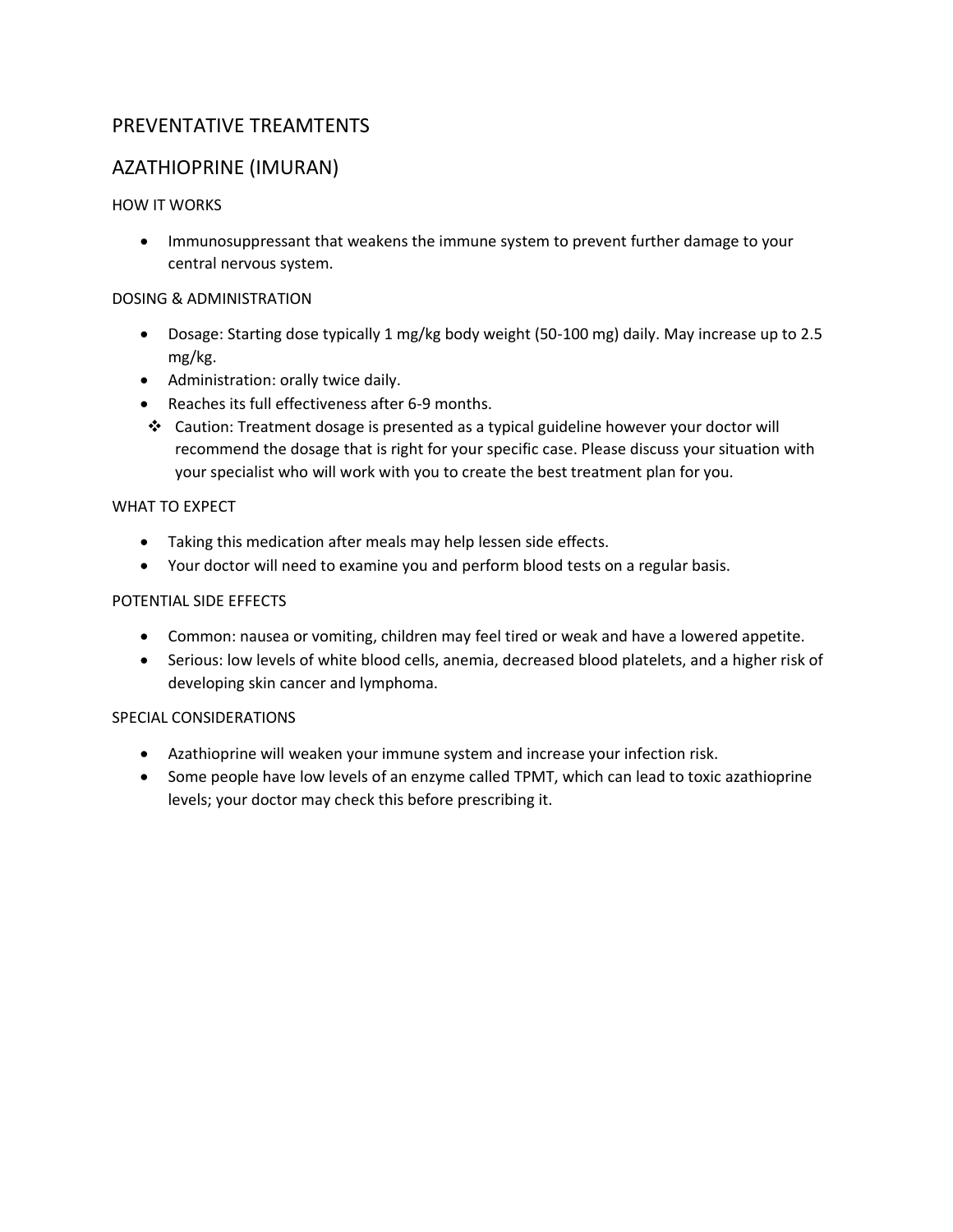### PREVENTATIVE TREAMTENTS

### AZATHIOPRINE (IMURAN)

### HOW IT WORKS

• Immunosuppressant that weakens the immune system to prevent further damage to your central nervous system.

### DOSING & ADMINISTRATION

- Dosage: Starting dose typically 1 mg/kg body weight (50-100 mg) daily. May increase up to 2.5 mg/kg.
- Administration: orally twice daily.
- Reaches its full effectiveness after 6-9 months.
- ❖ Caution: Treatment dosage is presented as a typical guideline however your doctor will recommend the dosage that is right for your specific case. Please discuss your situation with your specialist who will work with you to create the best treatment plan for you.

### WHAT TO EXPECT

- Taking this medication after meals may help lessen side effects.
- Your doctor will need to examine you and perform blood tests on a regular basis.

### POTENTIAL SIDE EFFECTS

- Common: nausea or vomiting, children may feel tired or weak and have a lowered appetite.
- Serious: low levels of white blood cells, anemia, decreased blood platelets, and a higher risk of developing skin cancer and lymphoma.

- Azathioprine will weaken your immune system and increase your infection risk.
- Some people have low levels of an enzyme called TPMT, which can lead to toxic azathioprine levels; your doctor may check this before prescribing it.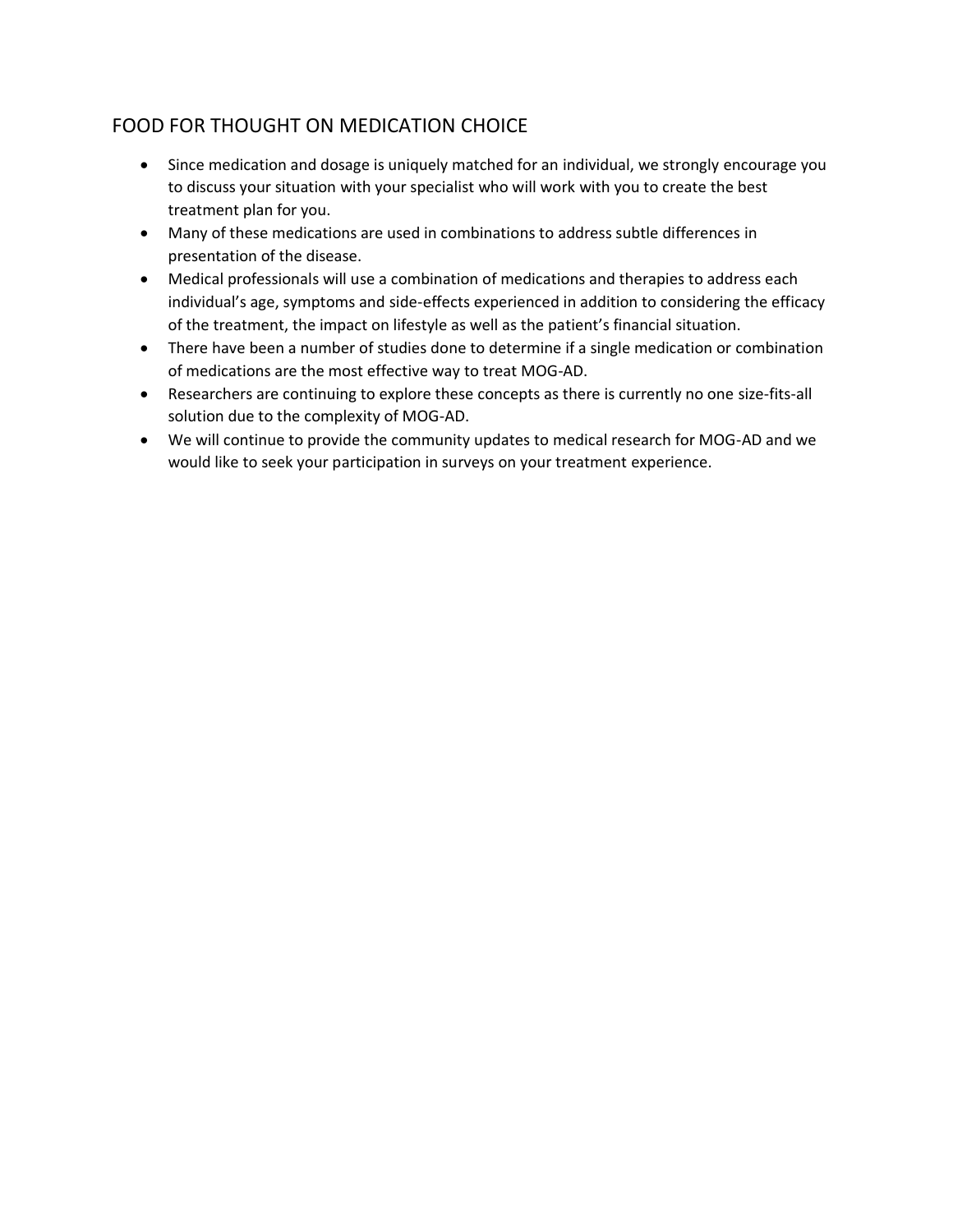### FOOD FOR THOUGHT ON MEDICATION CHOICE

- Since medication and dosage is uniquely matched for an individual, we strongly encourage you to discuss your situation with your specialist who will work with you to create the best treatment plan for you.
- Many of these medications are used in combinations to address subtle differences in presentation of the disease.
- Medical professionals will use a combination of medications and therapies to address each individual's age, symptoms and side-effects experienced in addition to considering the efficacy of the treatment, the impact on lifestyle as well as the patient's financial situation.
- There have been a number of studies done to determine if a single medication or combination of medications are the most effective way to treat MOG-AD.
- Researchers are continuing to explore these concepts as there is currently no one size-fits-all solution due to the complexity of MOG-AD.
- We will continue to provide the community updates to medical research for MOG-AD and we would like to seek your participation in surveys on your treatment experience.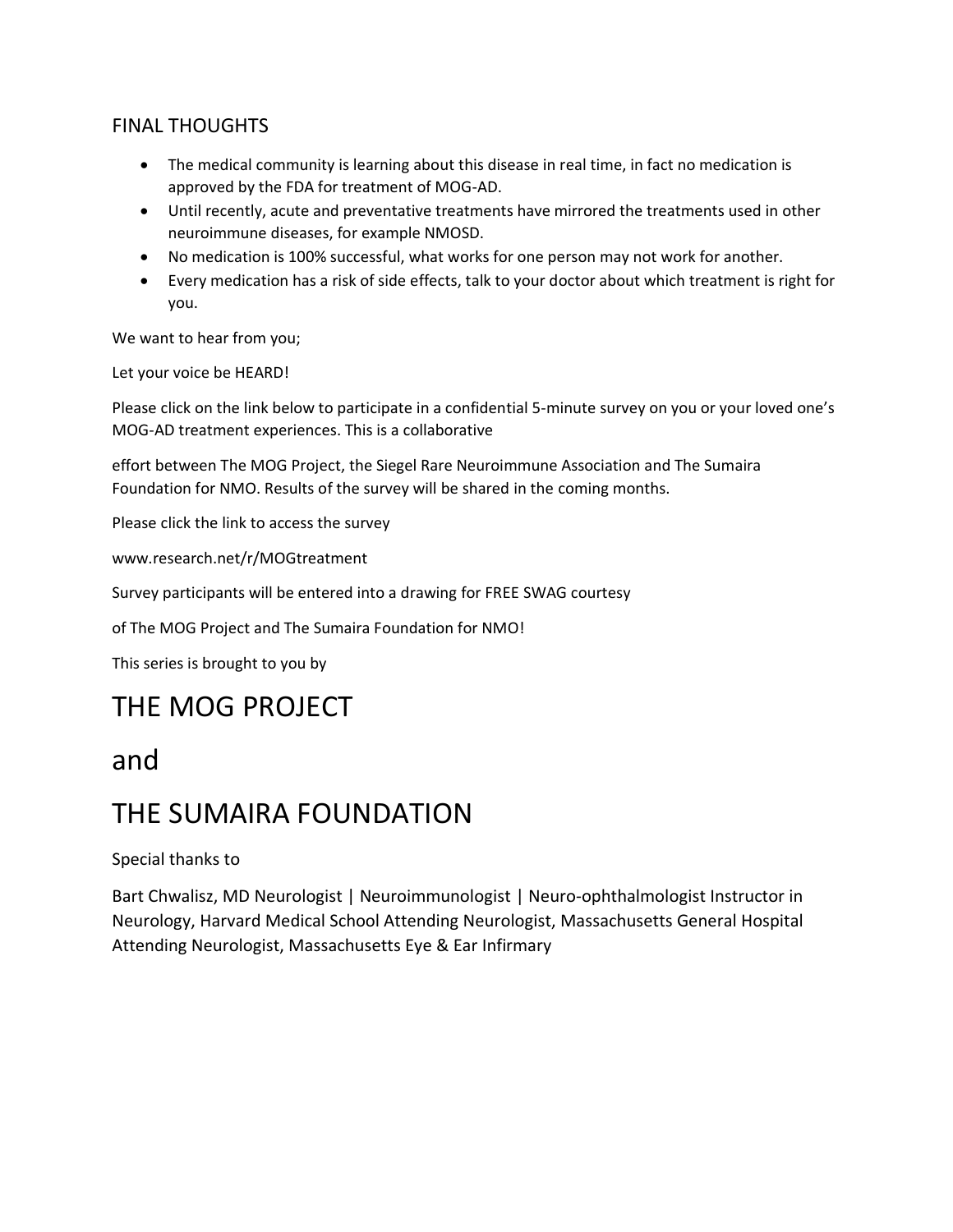### FINAL THOUGHTS

- The medical community is learning about this disease in real time, in fact no medication is approved by the FDA for treatment of MOG-AD.
- Until recently, acute and preventative treatments have mirrored the treatments used in other neuroimmune diseases, for example NMOSD.
- No medication is 100% successful, what works for one person may not work for another.
- Every medication has a risk of side effects, talk to your doctor about which treatment is right for you.

We want to hear from you;

Let your voice be HEARD!

Please click on the link below to participate in a confidential 5-minute survey on you or your loved one's MOG-AD treatment experiences. This is a collaborative

effort between The MOG Project, the Siegel Rare Neuroimmune Association and The Sumaira Foundation for NMO. Results of the survey will be shared in the coming months.

Please click the link to access the survey

www.research.net/r/MOGtreatment

Survey participants will be entered into a drawing for FREE SWAG courtesy

of The MOG Project and The Sumaira Foundation for NMO!

This series is brought to you by

## THE MOG PROJECT

### and

## THE SUMAIRA FOUNDATION

Special thanks to

Bart Chwalisz, MD Neurologist | Neuroimmunologist | Neuro-ophthalmologist Instructor in Neurology, Harvard Medical School Attending Neurologist, Massachusetts General Hospital Attending Neurologist, Massachusetts Eye & Ear Infirmary